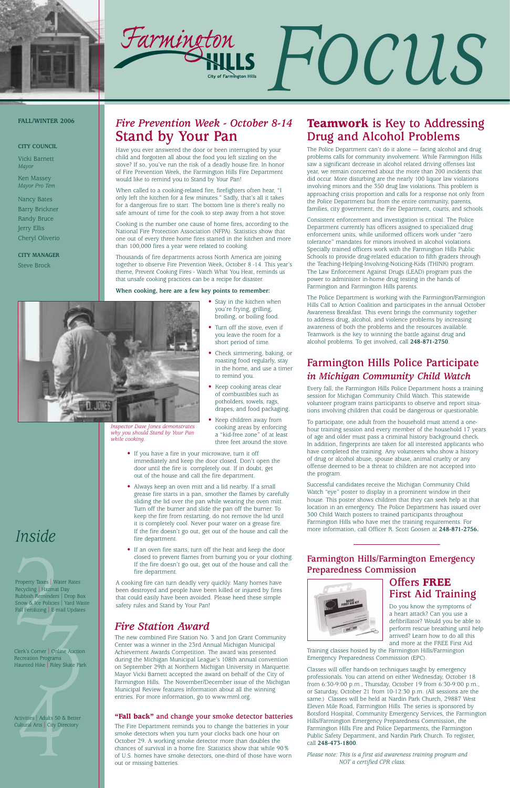



# *Inside*

Property Taxes | Wate<br>
Recycling | Hazmat E<br>
Rubbish Reminders |<br>
Snow & Ice Policies |<br>
Fall Fertilizing | E-ma Property Taxes | Water Rates Recycling | Hazmat Day Rubbish Reminders | Drop Box Snow & Ice Policies | Yard Waste Fall Fertilizing | E-mail Updates

# *Fire Prevention Week - October 8-14* **Stand by Your Pan**

Have you ever answered the door or been interrupted by your child and forgotten all about the food you left sizzling on the stove? If so, you've run the risk of a deadly house fire. In honor of Fire Prevention Week, the Farmington Hills Fire Department would like to remind you to Stand by Your Pan!

When called to a cooking-related fire, firefighters often hear, "I only left the kitchen for a few minutes." Sadly, that's all it takes for a dangerous fire to start. The bottom line is there's really no safe amount of time for the cook to step away from a hot stove.

> • Stay in the kitchen when you're frying, grilling, broiling, or boiling food. • Turn off the stove, even if you leave the room for a short period of time.

Cooking is the number one cause of home fires, according to the National Fire Protection Association (NFPA). Statistics show that one out of every three home fires started in the kitchen and more than 100,000 fires a year were related to cooking.

Thousands of fire departments across North America are joining together to observe Fire Prevention Week, October 8 -14. This year's theme, Prevent Cooking Fires - Watch What You Heat, reminds us that unsafe cooking practices can be a recipe for disaster.

**When cooking, here are a few key points to remember:**



• Check simmering, baking, or roasting food regularly, stay in the home, and use a timer

to remind you.

• Keep cooking areas clear of combustibles such as potholders, towels, rags, drapes, and food packaging.

• Keep children away from

cooking areas by enforcing a "kid-free zone" of at least three feet around the stove.

- If you have a fire in your microwave, turn it off immediately and keep the door closed. Don't open the door until the fire is completely out. If in doubt, get out of the house and call the fire department.
- Always keep an oven mitt and a lid nearby. If a small grease fire starts in a pan, smother the flames by carefully sliding the lid over the pan while wearing the oven mitt. Turn off the burner and slide the pan off the burner. To keep the fire from restarting, do not remove the lid until it is completely cool. Never pour water on a grease fire. If the fire doesn't go out, get out of the house and call the fire department.
- If an oven fire starts, turn off the heat and keep the door closed to prevent flames from burning you or your clothing. If the fire doesn't go out, get out of the house and call the fire department.

A cooking fire can turn deadly very quickly. Many homes have been destroyed and people have been killed or injured by fires that could easily have been avoided. Please heed these simple safety rules and Stand by Your Pan!

#### **FALL/WINTER 2006**

#### **CITY COUNCIL**

Vicki Barnett *Mayor*

Ken Massey *Mayor Pro Tem*

Nancy Bates Barry Brickner Randy Bruce Jerry Ellis Cheryl Oliverio

**CITY MANAGER** Steve Brock

### *Fire Station Award*

France | Online Auction<br>| Programs<br>|Hike | Riley Skate Park<br>| Clerk's Corner | Online Auction Recreation Programs Haunted Hike | Riley Skate Park

Activities | Adults 50 &<br>Cultural Arts | City Dire Activities | Adults 50 & Better Cultural Arts | City Directory

The new combined Fire Station No. 3 and Jon Grant Community Center was a winner in the 23rd Annual Michigan Municipal Achievement Awards Competition. The award was presented during the Michigan Municipal League's 108th annual convention on September 29th at Northern Michigan University in Marquette. Mayor Vicki Barnett accepted the award on behalf of the City of Farmington Hills. The November/December issue of the Michigan Municipal Review features information about all the winning entries. For more information, go to www.mml.org.

# **Farmington Hills Police Participate** *in Michigan Community Child Watch*

Every fall, the Farmington Hills Police Department hosts a training session for Michigan Community Child Watch. This statewide volunteer program trains participants to observe and report situations involving children that could be dangerous or questionable.

To participate, one adult from the household must attend a onehour training session and every member of the household 17 years of age and older must pass a criminal history background check. In addition, fingerprints are taken for all interested applicants who have completed the training. Any volunteers who show a history of drug or alcohol abuse, spouse abuse, animal cruelty or any offense deemed to be a threat to children are not accepted into the program.

Successful candidates receive the Michigan Community Child Watch "eye" poster to display in a prominent window in their house. This poster shows children that they can seek help at that location in an emergency. The Police Department has issued over 300 Child Watch posters to trained participants throughout Farmington Hills who have met the training requirements. For more information, call Officer R. Scott Goosen at **248-871-2756.** 

# **Teamwork is Key to Addressing Drug and Alcohol Problems**

The Police Department can't do it alone — facing alcohol and drug problems calls for community involvement. While Farmington Hills saw a significant decrease in alcohol related driving offenses last year, we remain concerned about the more than 200 incidents that did occur. More disturbing are the nearly 100 liquor law violations involving minors and the 350 drug law violations. This problem is approaching crisis proportion and calls for a response not only from the Police Department but from the entire community, parents, families, city government, the Fire Department, courts, and schools.

Consistent enforcement and investigation is critical. The Police Department currently has officers assigned to specialized drug enforcement units, while uniformed officers work under "zero tolerance" mandates for minors involved in alcohol violations. Specially trained officers work with the Farmington Hills Public Schools to provide drug-related education to fifth graders through the Teaching-Helping-Involving-Noticing-Kids (THINK) program. The Law Enforcement Against Drugs (LEAD) program puts the power to administer in-home drug testing in the hands of Farmington and Farmington Hills parents.

The Police Department is working with the Farmington/Farmington Hills Call to Action Coalition and participates in the annual October Awareness Breakfast. This event brings the community together to address drug, alcohol, and violence problems by increasing awareness of both the problems and the resources available. Teamwork is the key to winning the battle against drug and alcohol problems. To get involved, call **248-871-2750**.

*Inspector Dave Jones demonstrates why you should Stand by Your Pan while cooking.*

#### **"Fall back" and change your smoke detector batteries**

The Fire Department reminds you to change the batteries in your smoke detectors when you turn your clocks back one hour on October 29. A working smoke detector more than doubles the chances of survival in a home fire. Statistics show that while 90% of U.S. homes have smoke detectors, one-third of those have worn out or missing batteries.



**Farmington Hills/Farmington Emergency Preparedness Commission**

### **Offers FREE First Aid Training**

Do you know the symptoms of a heart attack? Can you use a defibrillator? Would you be able to perform rescue breathing until help arrived? Learn how to do all this and more at the FREE First Aid

Training classes hosted by the Farmington Hills/Farmington Emergency Preparedness Commission (EPC).

Classes will offer hands-on techniques taught by emergency professionals. You can attend on either Wednesday, October 18 from 6:30-9:00 p.m., Thursday, October 19 from 6:30-9:00 p.m., or Saturday, October 21 from 10-12:30 p.m. (All sessions are the same.) Classes will be held at Nardin Park Church, 29887 West Eleven Mile Road, Farmington Hills. The series is sponsored by Botsford Hospital, Community Emergency Services, the Farmington Hills/Farmington Emergency Preparedness Commission, the Farmington Hills Fire and Police Departments, the Farmington Public Safety Department, and Nardin Park Church. To register, call **248-473-1800**.

*Please note: This is a first aid awareness training program and NOT a certified CPR class.*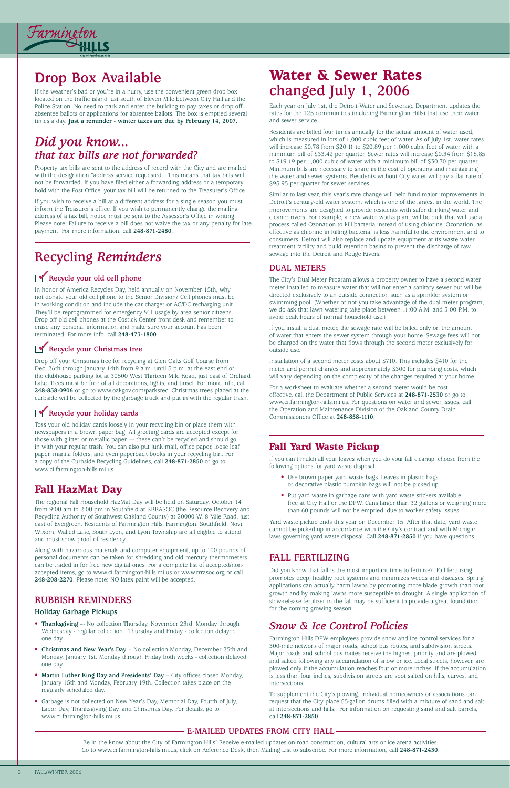### **RUBBISH REMINDERS**

#### **Holiday Garbage Pickups**

- **Thanksgiving** –- No collection Thursday, November 23rd. Monday through Wednesday - regular collection. Thursday and Friday - collection delayed one day.
- **Christmas and New Year's Day** No collection Monday, December 25th and Monday, January 1st. Monday through Friday both weeks - collection delayed one day.
- **Martin Luther King Day and Presidents' Day** City offices closed Monday, January 15th and Monday, February 19th. Collection takes place on the regularly scheduled day.
- Garbage is not collected on New Year's Day, Memorial Day, Fourth of July, Labor Day, Thanksgiving Day, and Christmas Day. For details, go to www.ci.farmington-hills.mi.us.



# **Drop Box Available**

If the weather's bad or you're in a hurry, use the convenient green drop box located on the traffic island just south of Eleven Mile between City Hall and the Police Station. No need to park and enter the building to pay taxes or drop off absentee ballots or applications for absentee ballots. The box is emptied several times a day. **Just a reminder - winter taxes are due by February 14, 2007.**

# *Did you know... that tax bills are not forwarded?*

Property tax bills are sent to the address of record with the City and are mailed with the designation "address service requested." This means that tax bills will not be forwarded. If you have filed either a forwarding address or a temporary hold with the Post Office, your tax bill will be returned to the Treasurer's Office.

If you wish to receive a bill at a different address for a single season you must inform the Treasurer's office. If you wish to permanently change the mailing address of a tax bill, notice must be sent to the Assessor's Office in writing. Please note: Failure to receive a bill does not waive the tax or any penalty for late payment. For more information, call **248-871-2480**.

## *Snow & Ice Control Policies*

Farmington Hills DPW employees provide snow and ice control services for a 300-mile network of major roads, school bus routes, and subdivision streets. Major roads and school bus routes receive the highest priority and are plowed and salted following any accumulation of snow or ice. Local streets, however, are plowed only if the accumulation reaches four or more inches. If the accumulation is less than four inches, subdivision streets are spot salted on hills, curves, and intersections.

To supplement the City's plowing, individual homeowners or associations can request that the City place 55-gallon drums filled with a mixture of sand and salt at intersections and hills. For information on requesting sand and salt barrels, call **248-871-2850**.

# **Recycling** *Reminders*

# Recycle your old cell phone

In honor of America Recycles Day, held annually on November 15th, why not donate your old cell phone to the Senior Division? Cell phones must be in working condition and include the car charger or AC/DC recharging unit. They'll be reprogrammed for emergency 911 usage by area senior citizens. Drop off old cell phones at the Costick Center front desk and remember to erase any personal information and make sure your account has been terminated. For more info, call **248-473-1800**.

# **Recycle your Christmas tree**

Drop off your Christmas tree for recycling at Glen Oaks Golf Course from Dec. 26th through January 14th from 9 a.m. until 5 p.m. at the east end of the clubhouse parking lot at 30500 West Thirteen Mile Road, just east of Orchard Lake. Trees must be free of all decorations, lights, and tinsel. For more info, call **248-858-0906** or go to www.oakgov.com/parksrec. Christmas trees placed at the curbside will be collected by the garbage truck and put in with the regular trash.

# **Recycle your holiday cards**

Toss your old holiday cards loosely in your recycling bin or place them with newspapers in a brown paper bag. All greeting cards are accepted except for those with glitter or metallic paper — these can't be recycled and should go in with your regular trash. You can also put junk mail, office paper, loose leaf paper, manila folders, and even paperback books in your recycling bin. For a copy of the Curbside Recycling Guidelines, call **248-871-2850** or go to www.ci.farmington-hills.mi.us.

# **Water & Sewer Rates changed July 1, 2006**

Each year on July 1st, the Detroit Water and Sewerage Department updates the rates for the 125 communities (including Farmington Hills) that use their water and sewer service.

Residents are billed four times annually for the actual amount of water used, which is measured in lots of 1,000 cubic feet of water. As of July 1st, water rates will increase \$0.78 from \$20.11 to \$20.89 per 1,000 cubic feet of water with a minimum bill of \$33.42 per quarter. Sewer rates will increase \$0.34 from \$18.85 to \$19.19 per 1,000 cubic of water with a minimum bill of \$30.70 per quarter. Minimum bills are necessary to share in the cost of operating and maintaining the water and sewer systems. Residents without City water will pay a flat rate of \$95.95 per quarter for sewer services.

Similar to last year, this year's rate change will help fund major improvements in Detroit's century-old water system, which is one of the largest in the world. The improvements are designed to provide residents with safer drinking water and cleaner rivers. For example, a new water works plant will be built that will use a process called Ozonation to kill bacteria instead of using chlorine. Ozonation, as effective as chlorine in killing bacteria, is less harmful to the environment and to consumers. Detroit will also replace and update equipment at its waste water treatment facility and build retention basins to prevent the discharge of raw sewage into the Detroit and Rouge Rivers.

### **DUAL METERS**

The City's Dual Meter Program allows a property owner to have a second water meter installed to measure water that will not enter a sanitary sewer but will be directed exclusively to an outside connection such as a sprinkler system or swimming pool. (Whether or not you take advantage of the dual meter program, we do ask that lawn watering take place between 11:00 A.M. and 3:00 P.M. to avoid peak hours of normal household use.)

If you install a dual meter, the sewage rate will be billed only on the amount of water that enters the sewer system through your home. Sewage fees will not be charged on the water that flows through the second meter exclusively for outside use.

Installation of a second meter costs about \$710. This includes \$410 for the meter and permit charges and approximately \$300 for plumbing costs, which will vary depending on the complexity of the changes required at your home.

For a worksheet to evaluate whether a second meter would be cost effective, call the Department of Public Services at **248-871-2530** or go to www.ci.farmington-hills.mi.us. For questions on water and sewer issues, call the Operation and Maintenance Division of the Oakland County Drain Commissioners Office at **248-858-1110**.

### **E-MAILED UPDATES FROM CITY HALL**

Be in the know about the City of Farmington Hills! Receive e-mailed updates on road construction, cultural arts or ice arena activities. Go to www.ci.farmington-hills.mi.us, click on Reference Desk, then Mailing List to subscribe. For more information, call **248-871-2430**.

## **Fall Yard Waste Pickup**

If you can't mulch all your leaves when you do your fall cleanup, choose from the following options for yard waste disposal:

- Use brown paper yard waste bags. Leaves in plastic bags or decorative plastic pumpkin bags will not be picked up.
- Put yard waste in garbage cans with yard waste stickers available free at City Hall or the DPW. Cans larger than 32 gallons or weighing more than 60 pounds will not be emptied, due to worker safety issues.

Yard waste pickup ends this year on December 15. After that date, yard waste cannot be picked up in accordance with the City's contract and with Michigan laws governing yard waste disposal. Call **248-871-2850** if you have questions.

## **FALL FERTILIZING**

Did you know that fall is the most important time to fertilize? Fall fertilizing promotes deep, healthy root systems and minimizes weeds and diseases. Spring applications can actually harm lawns by promoting more blade growth than root growth and by making lawns more susceptible to drought. A single application of slow-release fertilizer in the fall may be sufficient to provide a great foundation for the coming growing season.

# **Fall HazMat Day**

The regional Fall Household HazMat Day will be held on Saturday, October 14 from 9:00 am to 2:00 pm in Southfield at RRRASOC (the Resource Recovery and Recycling Authority of Southwest Oakland County) at 20000 W. 8 Mile Road, just east of Evergreen. Residents of Farmington Hills, Farmington, Southfield, Novi, Wixom, Walled Lake, South Lyon, and Lyon Township are all eligible to attend and must show proof of residency.

Along with hazardous materials and computer equipment, up to 100 pounds of personal documents can be taken for shredding and old mercury thermometers can be traded in for free new digital ones. For a complete list of accepted/nonaccepted items, go to www.ci.farmington-hills.mi.us or www.rrrasoc.org or call

**248-208-2270**. Please note: NO latex paint will be accepted.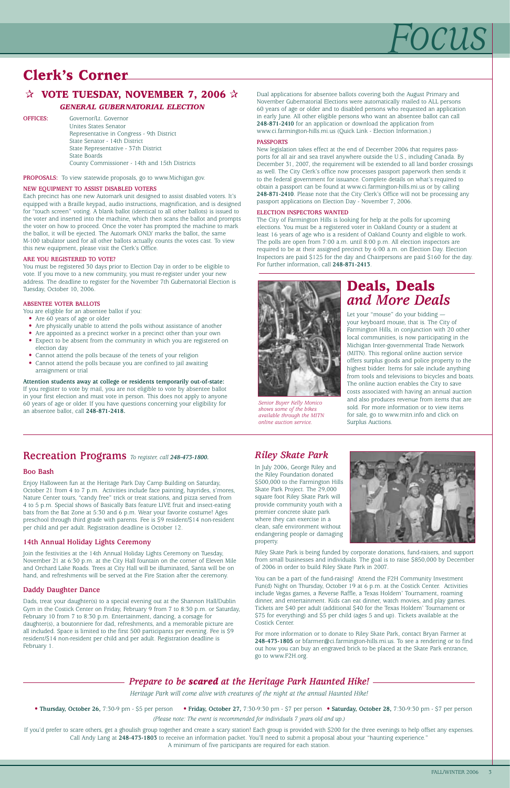# *Focus*

# **Clerk's Corner**

# ✰ **VOTE TUESDAY, NOVEMBER 7, 2006** ✰

#### *GENERAL GUBERNATORIAL ELECTION*

**OFFICES:** Governor/Lt. Governor Unites States Senator Representative in Congress - 9th District State Senator - 14th District State Representative - 37th District State Boards County Commissioner - 14th and 15th Districts

**PROPOSALS:** To view statewide proposals, go to www.Michigan.gov.

#### **NEW EQUIPMENT TO ASSIST DISABLED VOTERS**

Each precinct has one new Automark unit designed to assist disabled voters. It's equipped with a Braille keypad, audio instructions, magnification, and is designed for "touch screen" voting. A blank ballot (identical to all other ballots) is issued to the voter and inserted into the machine, which then scans the ballot and prompts the voter on how to proceed. Once the voter has prompted the machine to mark the ballot, it will be ejected. The Automark ONLY marks the ballot, the same M-100 tabulator used for all other ballots actually counts the votes cast. To view this new equipment, please visit the Clerk's Office.

- Are 60 years of age or older
- Are physically unable to attend the polls without assistance of another
- Are appointed as a precinct worker in a precinct other than your own
- Expect to be absent from the community in which you are registered on election day
- Cannot attend the polls because of the tenets of your religion
- Cannot attend the polls because you are confined to jail awaiting arraignment or trial

#### **ARE YOU REGISTERED TO VOTE?**

You must be registered 30 days prior to Election Day in order to be eligible to vote. If you move to a new community, you must re-register under your new address. The deadline to register for the November 7th Gubernatorial Election is Tuesday, October 10, 2006.

#### **ABSENTEE VOTER BALLOTS**

You are eligible for an absentee ballot if you:

**Attention students away at college or residents temporarily out-of-state:** If you register to vote by mail, you are not eligible to vote by absentee ballot in your first election and must vote in person. This does not apply to anyone 60 years of age or older. If you have questions concerning your eligibility for an absentee ballot, call **248-871-2418.**

#### Dual applications for absentee ballots covering both the August Primary and November Gubernatorial Elections were automatically mailed to ALL persons 60 years of age or older and to disabled persons who requested an application in early June. All other eligible persons who want an absentee ballot can call **248-871-2410** for an application or download the application from www.ci.farmington-hills.mi.us (Quick Link - Election Information.)

#### **PASSPORTS**

New legislation takes effect at the end of December 2006 that requires passports for all air and sea travel anywhere outside the U.S., including Canada. By December 31, 2007, the requirement will be extended to all land border crossings as well. The City Clerk's office now processes passport paperwork then sends it to the federal government for issuance. Complete details on what's required to obtain a passport can be found at www.ci.farmington-hills.mi.us or by calling **248-871-2410**. Please note that the City Clerk's Office will not be processing any passport applications on Election Day - November 7, 2006.

#### **ELECTION INSPECTORS WANTED**

The City of Farmington Hills is looking for help at the polls for upcoming elections. You must be a registered voter in Oakland County or a student at least 16 years of age who is a resident of Oakland County and eligible to work. The polls are open from 7:00 a.m. until 8:00 p.m. All election inspectors are required to be at their assigned precinct by 6:00 a.m. on Election Day. Election Inspectors are paid \$125 for the day and Chairpersons are paid \$160 for the day. For further information, call **248-871-2413**.

### *Riley Skate Park*

In July 2006, George Riley and the Riley Foundation donated \$500,000 to the Farmington Hills Skate Park Project. The 29,000 square foot Riley Skate Park will provide community youth with a premier concrete skate park where they can exercise in a clean, safe environment without endangering people or damaging property.



Riley Skate Park is being funded by corporate donations, fund-raisers, and support from small businesses and individuals. The goal is to raise \$850,000 by December of 2006 in order to build Riley Skate Park in 2007.

You can be a part of the fund-raising! Attend the F2H Community Investment Fun(d) Night on Thursday, October 19 at 6 p.m. at the Costick Center. Activities include Vegas games, a Reverse Raffle, a Texas Holdem' Tournament, roaming dinner, and entertainment. Kids can eat dinner, watch movies, and play games. Tickets are \$40 per adult (additional \$40 for the Texas Holdem' Tournament or \$75 for everything) and \$5 per child (ages 5 and up). Tickets available at the Costick Center.

For more information or to donate to Riley Skate Park, contact Bryan Farmer at **248-473-1805** or bfarmer@ci.farmington-hills.mi.us. To see a rendering or to find out how you can buy an engraved brick to be placed at the Skate Park entrance, go to www.F2H.org.

### **Recreation Programs** *To register, call 248-473-1800.*

#### **Boo Bash**

Enjoy Halloween fun at the Heritage Park Day Camp Building on Saturday, October 21 from 4 to 7 p.m. Activities include face painting, hayrides, s'mores, Nature Center tours, "candy free" trick or treat stations, and pizza served from 4 to 5 p.m. Special shows of Basically Bats feature LIVE fruit and insect-eating bats from the Bat Zone at 5:30 and 6 p.m. Wear your favorite costume! Ages preschool through third grade with parents. Fee is \$9 resident/\$14 non-resident per child and per adult. Registration deadline is October 12.

#### **14th Annual Holiday Lights Ceremony**

Join the festivities at the 14th Annual Holiday Lights Ceremony on Tuesday, November 21 at 6:30 p.m. at the City Hall fountain on the corner of Eleven Mile and Orchard Lake Roads. Trees at City Hall will be illuminated, Santa will be on hand, and refreshments will be served at the Fire Station after the ceremony.

#### **Daddy Daughter Dance**

Dads, treat your daughter(s) to a special evening out at the Shannon Hall/Dublin Gym in the Costick Center on Friday, February 9 from 7 to 8:30 p.m. or Saturday, February 10 from 7 to 8:30 p.m. Entertainment, dancing, a corsage for daughter(s), a boutonniere for dad, refreshments, and a memorable picture are all included. Space is limited to the first 500 participants per evening. Fee is \$9 resident/\$14 non-resident per child and per adult. Registration deadline is February 1.

### *Prepare to be scared at the Heritage Park Haunted Hike!*

*Heritage Park will come alive with creatures of the night at the annual Haunted Hike!* 

• **Thursday, October 26,** 7:30-9 pm - \$5 per person • **Friday, October 27,** 7:30-9:30 pm - \$7 per person • **Saturday, October 28,** 7:30-9:30 pm - \$7 per person

*(Please note: The event is recommended for individuals 7 years old and up.)* 

If you'd prefer to scare others, get a ghoulish group together and create a scary station! Each group is provided with \$200 for the three evenings to help offset any expenses. Call Andy Lang at **248-473-1803** to receive an information packet. You'll need to submit a proposal about your "haunting experience." A minimum of five participants are required for each station.

# **Deals, Deals** *and More Deals*

Let your "mouse" do your bidding your keyboard mouse, that is. The City of Farmington Hills, in conjunction with 20 other local communities, is now participating in the Michigan Inter-governmental Trade Network (MITN). This regional online auction service offers surplus goods and police property to the highest bidder. Items for sale include anything from tools and televisions to bicycles and boats. The online auction enables the City to save costs associated with having an annual auction and also produces revenue from items that are sold. For more information or to view items for sale, go to www.mitn.info and click on Surplus Auctions.



*Senior Buyer Kelly Monico shows some of the bikes available through the MITN online auction service.*